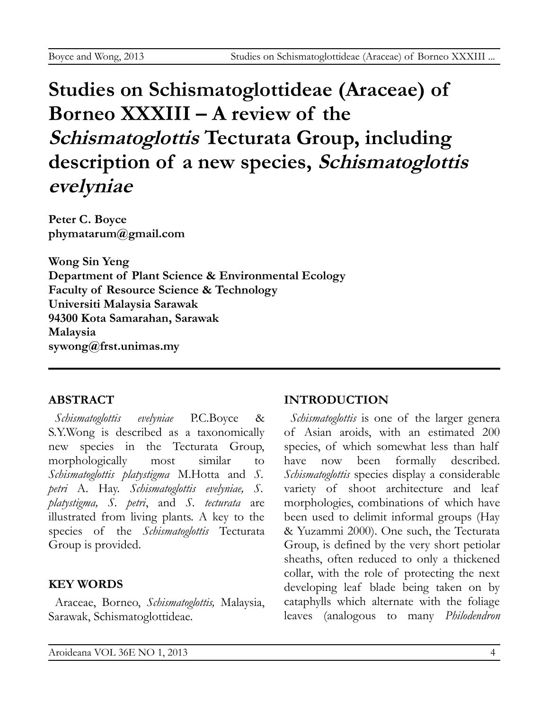# **Studies on Schismatoglottideae (Araceae) of Borneo XXXIII – A review of the Schismatoglottis Tecturata Group, including description of a new species, Schismatoglottis evelyniae**

**Peter C. Boyce [phymatarum@gmail.com](mailto:phymatarum@gmail.com)**

**Wong Sin Yeng Department of Plant Science & Environmental Ecology Faculty of Resource Science & Technology Universiti Malaysia Sarawak 94300 Kota Samarahan, Sarawak Malaysia [sywong@frst.unimas.my](mailto:sywong@frst.unimas.my)**

### **ABSTRACT**

*Schismatoglottis evelyniae* P.C.Boyce & S.Y.Wong is described as a taxonomically new species in the Tecturata Group, morphologically most similar to *Schismatoglottis platystigma* M.Hotta and *S. petri* A. Hay. *Schismatoglottis evelyniae, S. platystigma, S. petri*, and *S. tecturata* are illustrated from living plants. A key to the species of the *Schismatoglottis* Tecturata Group is provided.

## **KEY WORDS**

Araceae, Borneo, *Schismatoglottis,* Malaysia, Sarawak, Schismatoglottideae.

# **INTRODUCTION**

*Schismatoglottis* is one of the larger genera of Asian aroids, with an estimated 200 species, of which somewhat less than half have now been formally described. *Schismatoglottis* species display a considerable variety of shoot architecture and leaf morphologies, combinations of which have been used to delimit informal groups (Hay & Yuzammi 2000). One such, the Tecturata Group, is defined by the very short petiolar sheaths, often reduced to only a thickened collar, with the role of protecting the next developing leaf blade being taken on by cataphylls which alternate with the foliage leaves (analogous to many *Philodendron*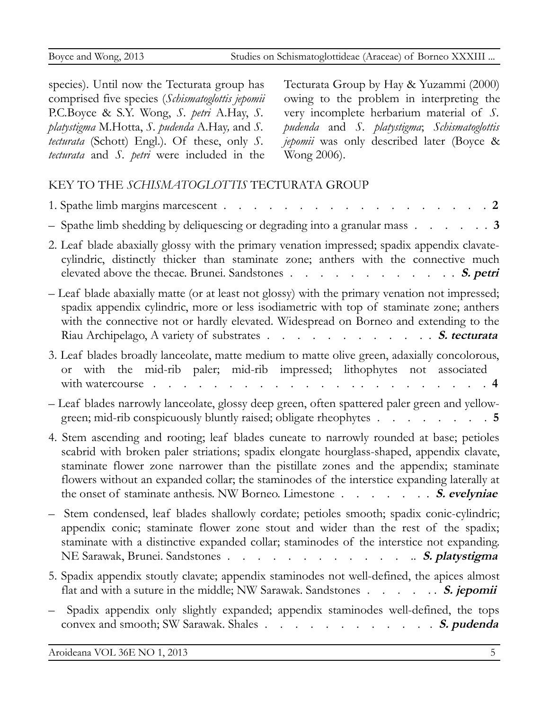species). Until now the Tecturata group has comprised five species (*Schismatoglottis jepomii* P.C.Boyce & S.Y. Wong, *S. petri* A.Hay, *S. platystigma* M.Hotta, *S. pudenda* A.Hay*,* and *S. tecturata* (Schott) Engl.). Of these, only *S. tecturata* and *S. petri* were included in the

Tecturata Group by Hay & Yuzammi (2000) owing to the problem in interpreting the very incomplete herbarium material of *S. pudenda* and *S. platystigma*; *Schismatoglottis jepomii* was only described later (Boyce & Wong 2006).

### KEY TO THE *SCHISMATOGLOTTIS* TECTURATA GROUP

| 1. Spathe limb margins marcescent<br>$\cdot$ 2                                                                                                                                                                                                                                                                                                                                                                                                     |
|----------------------------------------------------------------------------------------------------------------------------------------------------------------------------------------------------------------------------------------------------------------------------------------------------------------------------------------------------------------------------------------------------------------------------------------------------|
| - Spathe limb shedding by deliquescing or degrading into a granular mass $\ldots$ $\ldots$ $\ldots$                                                                                                                                                                                                                                                                                                                                                |
| 2. Leaf blade abaxially glossy with the primary venation impressed; spadix appendix clavate-<br>cylindric, distinctly thicker than staminate zone; anthers with the connective much<br>elevated above the thecae. Brunei. Sandstones S. petri                                                                                                                                                                                                      |
| - Leaf blade abaxially matte (or at least not glossy) with the primary venation not impressed;<br>spadix appendix cylindric, more or less isodiametric with top of staminate zone; anthers<br>with the connective not or hardly elevated. Widespread on Borneo and extending to the<br>Riau Archipelago, A variety of substrates S. tecturata                                                                                                      |
| 3. Leaf blades broadly lanceolate, matte medium to matte olive green, adaxially concolorous,<br>or with the mid-rib paler; mid-rib impressed; lithophytes not associated<br>with watercourse.<br>$\cdot$ 4<br>. The second contract is a second contract of the $\mathcal{A}$                                                                                                                                                                      |
| - Leaf blades narrowly lanceolate, glossy deep green, often spattered paler green and yellow-<br>green; mid-rib conspicuously bluntly raised; obligate rheophytes 5                                                                                                                                                                                                                                                                                |
| 4. Stem ascending and rooting; leaf blades cuneate to narrowly rounded at base; petioles<br>scabrid with broken paler striations; spadix elongate hourglass-shaped, appendix clavate,<br>staminate flower zone narrower than the pistillate zones and the appendix; staminate<br>flowers without an expanded collar; the staminodes of the interstice expanding laterally at<br>the onset of staminate anthesis. NW Borneo. Limestone S. evelyniae |
| Stem condensed, leaf blades shallowly cordate; petioles smooth; spadix conic-cylindric;<br>appendix conic; staminate flower zone stout and wider than the rest of the spadix;<br>staminate with a distinctive expanded collar; staminodes of the interstice not expanding.<br>NE Sarawak, Brunei. Sandstones S. platystigma                                                                                                                        |
| 5. Spadix appendix stoutly clavate; appendix staminodes not well-defined, the apices almost<br>flat and with a suture in the middle; NW Sarawak. Sandstones S. jepomii                                                                                                                                                                                                                                                                             |
| Spadix appendix only slightly expanded; appendix staminodes well-defined, the tops<br>convex and smooth; SW Sarawak. Shales S. pudenda                                                                                                                                                                                                                                                                                                             |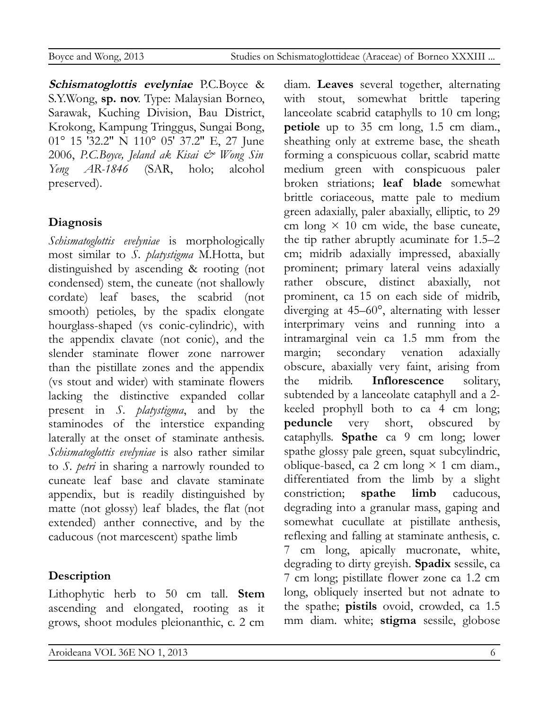**Schismatoglottis evelyniae** P.C.Boyce & S.Y.Wong, **sp. nov**. Type: Malaysian Borneo, Sarawak, Kuching Division, Bau District, Krokong, Kampung Tringgus, Sungai Bong, 01° 15 ′32.2″ N 110° 05′ 37.2″ E, 27 June 2006, *P.C.Boyce, Jeland ak Kisai & Wong Sin Yeng AR-1846* (SAR, holo; alcohol preserved).

# **Diagnosis**

*Schismatoglottis evelyniae* is morphologically most similar to *S. platystigma* M.Hotta, but distinguished by ascending & rooting (not condensed) stem, the cuneate (not shallowly cordate) leaf bases, the scabrid (not smooth) petioles, by the spadix elongate hourglass-shaped (vs conic-cylindric), with the appendix clavate (not conic), and the slender staminate flower zone narrower than the pistillate zones and the appendix (vs stout and wider) with staminate flowers lacking the distinctive expanded collar present in *S. platystigma*, and by the staminodes of the interstice expanding laterally at the onset of staminate anthesis. *Schismatoglottis evelyniae* is also rather similar to *S. petri* in sharing a narrowly rounded to cuneate leaf base and clavate staminate appendix, but is readily distinguished by matte (not glossy) leaf blades, the flat (not extended) anther connective, and by the caducous (not marcescent) spathe limb

# **Description**

Lithophytic herb to 50 cm tall. **Stem** ascending and elongated, rooting as it grows, shoot modules pleionanthic, c. 2 cm

Aroideana VOL 36E NO 1, 2013 6

diam. **Leaves** several together, alternating with stout, somewhat brittle tapering lanceolate scabrid cataphylls to 10 cm long; **petiole** up to 35 cm long, 1.5 cm diam., sheathing only at extreme base, the sheath forming a conspicuous collar, scabrid matte medium green with conspicuous paler broken striations; **leaf blade** somewhat brittle coriaceous, matte pale to medium green adaxially, paler abaxially, elliptic, to 29 cm long  $\times$  10 cm wide, the base cuneate, the tip rather abruptly acuminate for 1.5–2 cm; midrib adaxially impressed, abaxially prominent; primary lateral veins adaxially rather obscure, distinct abaxially, not prominent, ca 15 on each side of midrib, diverging at 45–60°, alternating with lesser interprimary veins and running into a intramarginal vein ca 1.5 mm from the margin; secondary venation adaxially obscure, abaxially very faint, arising from the midrib. **Inflorescence** solitary, subtended by a lanceolate cataphyll and a 2 keeled prophyll both to ca 4 cm long; **peduncle** very short, obscured by cataphylls. **Spathe** ca 9 cm long; lower spathe glossy pale green, squat subcylindric, oblique-based, ca 2 cm long  $\times$  1 cm diam., differentiated from the limb by a slight constriction; **spathe limb** caducous, degrading into a granular mass, gaping and somewhat cucullate at pistillate anthesis, reflexing and falling at staminate anthesis, c. 7 cm long, apically mucronate, white, degrading to dirty greyish. **Spadix** sessile, ca 7 cm long; pistillate flower zone ca 1.2 cm long, obliquely inserted but not adnate to the spathe; **pistils** ovoid, crowded, ca 1.5 mm diam. white; **stigma** sessile, globose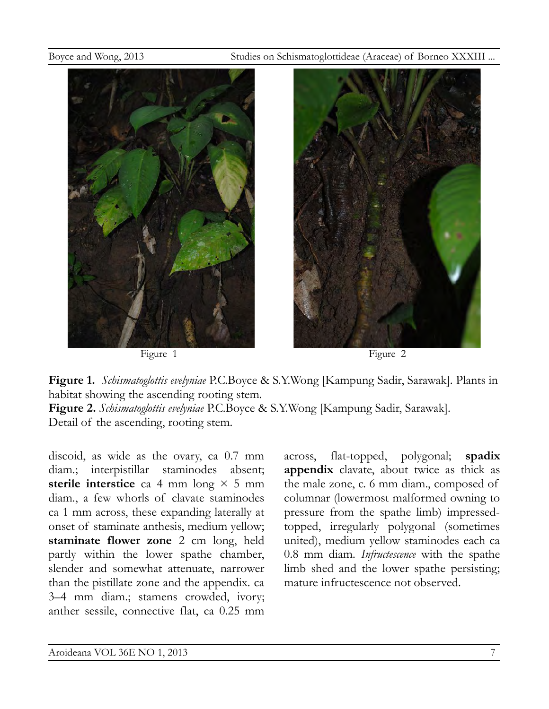



Figure 1 Figure 2



**Figure 1.** *Schismatoglottis evelyniae* P.C.Boyce & S.Y.Wong [Kampung Sadir, Sarawak]. Plants in habitat showing the ascending rooting stem.

**Figure 2.** *Schismatoglottis evelyniae* P.C.Boyce & S.Y.Wong [Kampung Sadir, Sarawak]. Detail of the ascending, rooting stem.

discoid, as wide as the ovary, ca 0.7 mm diam.; interpistillar staminodes absent; **sterile interstice** ca 4 mm long  $\times$  5 mm diam., a few whorls of clavate staminodes ca 1 mm across, these expanding laterally at onset of staminate anthesis, medium yellow; **staminate flower zone** 2 cm long, held partly within the lower spathe chamber, slender and somewhat attenuate, narrower than the pistillate zone and the appendix. ca 3–4 mm diam.; stamens crowded, ivory; anther sessile, connective flat, ca 0.25 mm

across, flat-topped, polygonal; **spadix appendix** clavate, about twice as thick as the male zone, c. 6 mm diam., composed of columnar (lowermost malformed owning to pressure from the spathe limb) impressedtopped, irregularly polygonal (sometimes united), medium yellow staminodes each ca 0.8 mm diam. *Infructescence* with the spathe limb shed and the lower spathe persisting; mature infructescence not observed.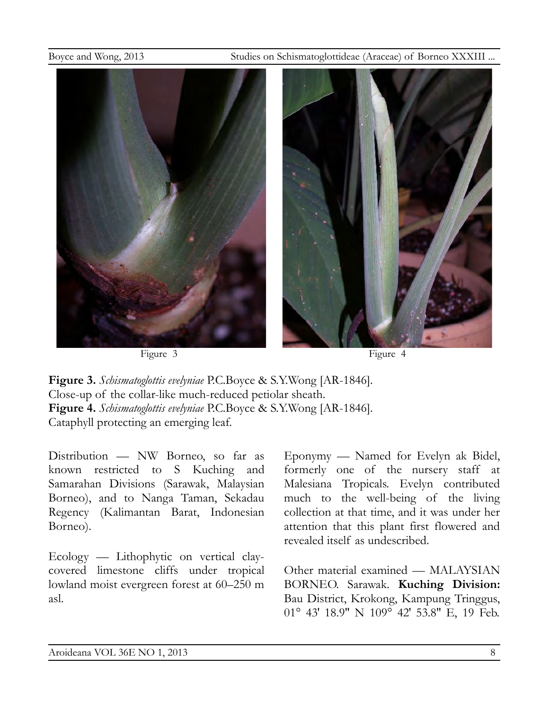



**Figure 3.** *Schismatoglottis evelyniae* P.C.Boyce & S.Y.Wong [AR-1846]. Close-up of the collar-like much-reduced petiolar sheath. **Figure 4.** *Schismatoglottis evelyniae* P.C.Boyce & S.Y.Wong [AR-1846]. Cataphyll protecting an emerging leaf.

Distribution — NW Borneo, so far as known restricted to S Kuching and Samarahan Divisions (Sarawak, Malaysian Borneo), and to Nanga Taman, Sekadau Regency (Kalimantan Barat, Indonesian Borneo).

Ecology — Lithophytic on vertical claycovered limestone cliffs under tropical lowland moist evergreen forest at 60–250 m asl.

Eponymy — Named for Evelyn ak Bidel, formerly one of the nursery staff at Malesiana Tropicals. Evelyn contributed much to the well-being of the living collection at that time, and it was under her attention that this plant first flowered and revealed itself as undescribed.

Other material examined — MALAYSIAN BORNEO. Sarawak. **Kuching Division:** Bau District, Krokong, Kampung Tringgus, 01° 43′ 18.9″ N 109° 42′ 53.8″ E, 19 Feb.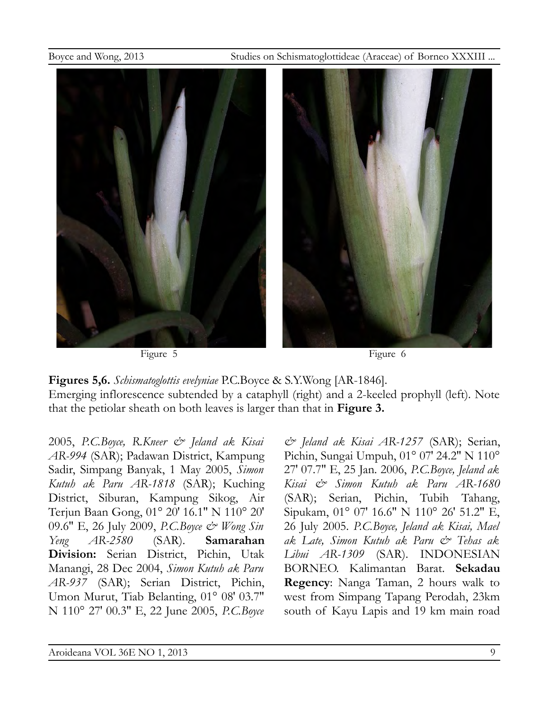



**Figures 5,6.** *Schismatoglottis evelyniae* P.C.Boyce & S.Y.Wong [AR-1846]. Emerging inflorescence subtended by a cataphyll (right) and a 2-keeled prophyll (left). Note that the petiolar sheath on both leaves is larger than that in **Figure 3.**

2005, *P.C.Boyce, R.Kneer & Jeland ak Kisai AR-994* (SAR); Padawan District, Kampung Sadir, Simpang Banyak, 1 May 2005, *Simon Kutuh ak Paru AR-1818* (SAR); Kuching District, Siburan, Kampung Sikog, Air Terjun Baan Gong, 01° 20′ 16.1″ N 110° 20′ 09.6″ E, 26 July 2009, *P.C.Boyce & Wong Sin Yeng AR-2580* (SAR). **Samarahan Division:** Serian District, Pichin, Utak Manangi, 28 Dec 2004, *Simon Kutuh ak Paru AR-937* (SAR); Serian District, Pichin, Umon Murut, Tiab Belanting, 01° 08′ 03.7″ N 110° 27′ 00.3″ E, 22 June 2005, *P.C.Boyce*

*& Jeland ak Kisai AR-1257* (SAR); Serian, Pichin, Sungai Umpuh, 01° 07′ 24.2″ N 110° 27′ 07.7″ E, 25 Jan. 2006, *P.C.Boyce, Jeland ak Kisai & Simon Kutuh ak Paru AR-1680* (SAR); Serian, Pichin, Tubih Tahang, Sipukam, 01° 07′ 16.6″ N 110° 26′ 51.2″ E, 26 July 2005. *P.C.Boyce, Jeland ak Kisai, Mael ak Late, Simon Kutuh ak Paru & Tehas ak Libui AR-1309* (SAR). INDONESIAN BORNEO. Kalimantan Barat. **Sekadau Regency**: Nanga Taman, 2 hours walk to west from Simpang Tapang Perodah, 23km south of Kayu Lapis and 19 km main road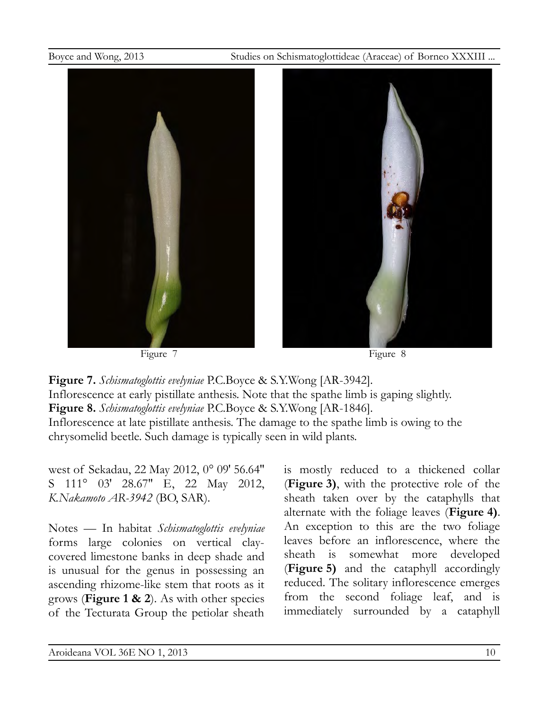





Figure 7 Figure 8

**Figure 7.** *Schismatoglottis evelyniae* P.C.Boyce & S.Y.Wong [AR-3942]. Inflorescence at early pistillate anthesis. Note that the spathe limb is gaping slightly. **Figure 8.** *Schismatoglottis evelyniae* P.C.Boyce & S.Y.Wong [AR-1846]. Inflorescence at late pistillate anthesis. The damage to the spathe limb is owing to the chrysomelid beetle. Such damage is typically seen in wild plants.

west of Sekadau, 22 May 2012, 0° 09′ 56.64″ S 111° 03' 28.67" E, 22 May 2012, *K.Nakamoto AR-3942* (BO, SAR).

Notes — In habitat *Schismatoglottis evelyniae* forms large colonies on vertical claycovered limestone banks in deep shade and is unusual for the genus in possessing an ascending rhizome-like stem that roots as it grows (**Figure 1 & 2**). As with other species of the Tecturata Group the petiolar sheath is mostly reduced to a thickened collar (**Figure 3)**, with the protective role of the sheath taken over by the cataphylls that alternate with the foliage leaves (**Figure 4)**. An exception to this are the two foliage leaves before an inflorescence, where the sheath is somewhat more developed (**Figure 5)** and the cataphyll accordingly reduced. The solitary inflorescence emerges from the second foliage leaf, and is immediately surrounded by a cataphyll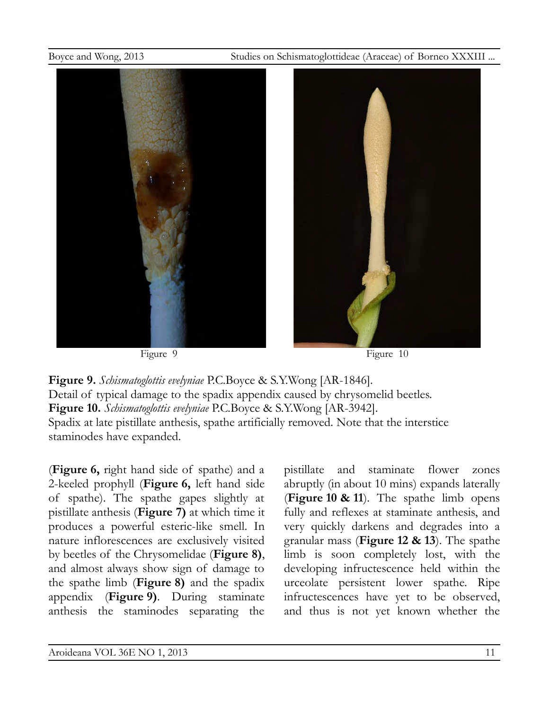

Figure 9 Figure 10

**Figure 9.** *Schismatoglottis evelyniae* P.C.Boyce & S.Y.Wong [AR-1846]. Detail of typical damage to the spadix appendix caused by chrysomelid beetles. **Figure 10.** *Schismatoglottis evelyniae* P.C.Boyce & S.Y.Wong [AR-3942]. Spadix at late pistillate anthesis, spathe artificially removed. Note that the interstice staminodes have expanded.

(**Figure 6,** right hand side of spathe) and a 2-keeled prophyll (**Figure 6,** left hand side of spathe). The spathe gapes slightly at pistillate anthesis (**Figure 7)** at which time it produces a powerful esteric-like smell. In nature inflorescences are exclusively visited by beetles of the Chrysomelidae (**Figure 8)**, and almost always show sign of damage to the spathe limb (**Figure 8)** and the spadix appendix (**Figure 9)**. During staminate anthesis the staminodes separating the pistillate and staminate flower zones abruptly (in about 10 mins) expands laterally (**Figure 10 & 11**). The spathe limb opens fully and reflexes at staminate anthesis, and very quickly darkens and degrades into a granular mass (**Figure 12 & 13**). The spathe limb is soon completely lost, with the developing infructescence held within the urceolate persistent lower spathe. Ripe infructescences have yet to be observed, and thus is not yet known whether the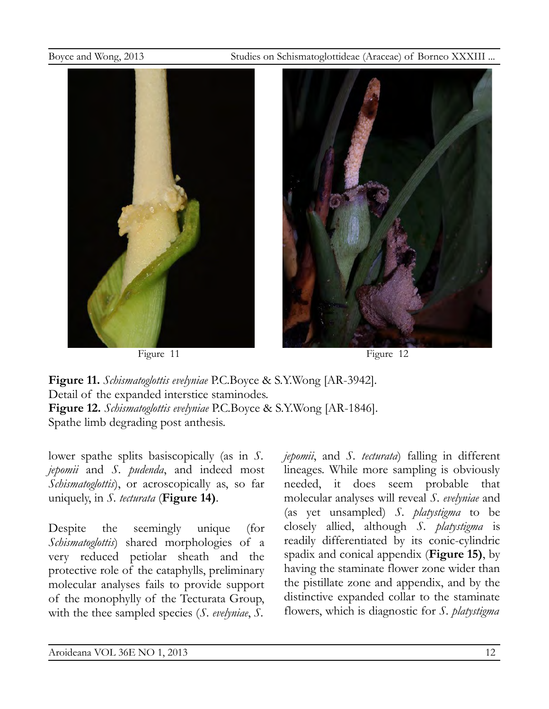

Figure 11 Figure 12



**Figure 11.** *Schismatoglottis evelyniae* P.C.Boyce & S.Y.Wong [AR-3942]. Detail of the expanded interstice staminodes. **Figure 12.** *Schismatoglottis evelyniae* P.C.Boyce & S.Y.Wong [AR-1846]. Spathe limb degrading post anthesis.

lower spathe splits basiscopically (as in *S. jepomii* and *S. pudenda*, and indeed most *Schismatoglottis*), or acroscopically as, so far uniquely, in *S. tecturata* (**Figure 14)**.

Despite the seemingly unique (for *Schismatoglottis*) shared morphologies of a very reduced petiolar sheath and the protective role of the cataphylls, preliminary molecular analyses fails to provide support of the monophylly of the Tecturata Group, with the thee sampled species (*S. evelyniae*, *S.*

*jepomii*, and *S. tecturata*) falling in different lineages. While more sampling is obviously needed, it does seem probable that molecular analyses will reveal *S. evelyniae* and (as yet unsampled) *S. platystigma* to be closely allied, although *S. platystigma* is readily differentiated by its conic-cylindric spadix and conical appendix (**Figure 15)**, by having the staminate flower zone wider than the pistillate zone and appendix, and by the distinctive expanded collar to the staminate flowers, which is diagnostic for *S. platystigma*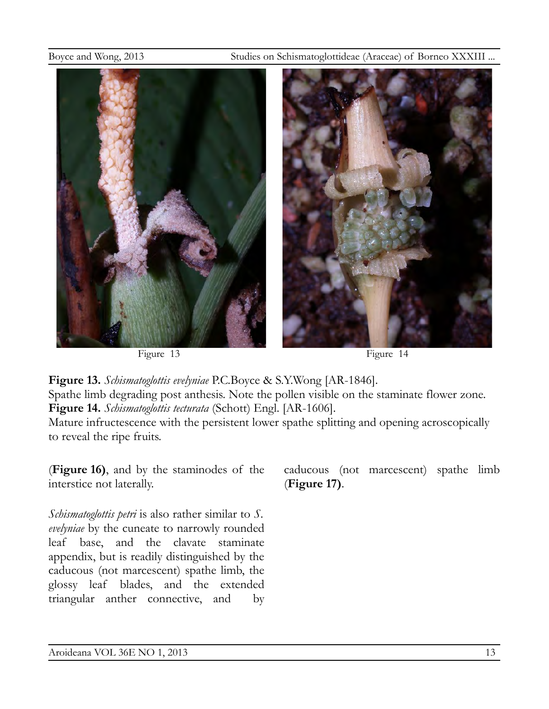

Figure 13 Figure 14

**Figure 13.** *Schismatoglottis evelyniae* P.C.Boyce & S.Y.Wong [AR-1846]. Spathe limb degrading post anthesis. Note the pollen visible on the staminate flower zone. **Figure 14.** *Schismatoglottis tecturata* (Schott) Engl. [AR-1606].

Mature infructescence with the persistent lower spathe splitting and opening acroscopically to reveal the ripe fruits.

(**Figure 16)**, and by the staminodes of the interstice not laterally.

*Schismatoglottis petri* is also rather similar to *S. evelyniae* by the cuneate to narrowly rounded leaf base, and the clavate staminate appendix, but is readily distinguished by the caducous (not marcescent) spathe limb, the glossy leaf blades, and the extended triangular anther connective, and by

caducous (not marcescent) spathe limb (**Figure 17)**.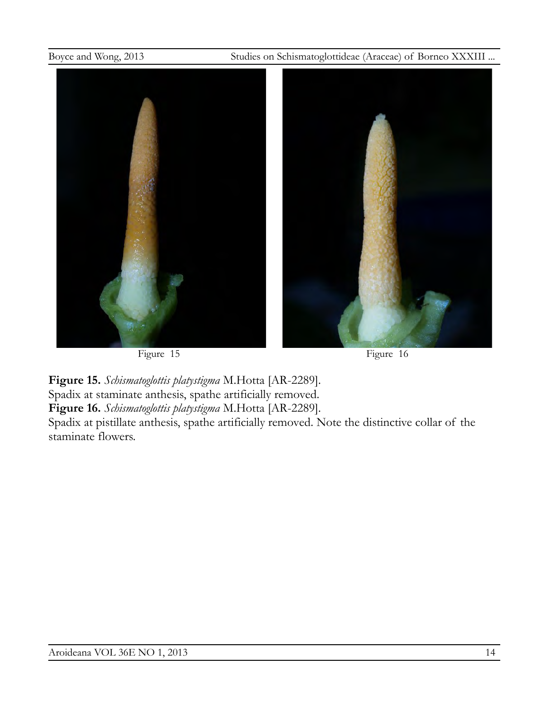

**Figure 15.** *Schismatoglottis platystigma* M.Hotta [AR-2289]. Spadix at staminate anthesis, spathe artificially removed. **Figure 16.** *Schismatoglottis platystigma* M.Hotta [AR-2289].

Spadix at pistillate anthesis, spathe artificially removed. Note the distinctive collar of the staminate flowers.